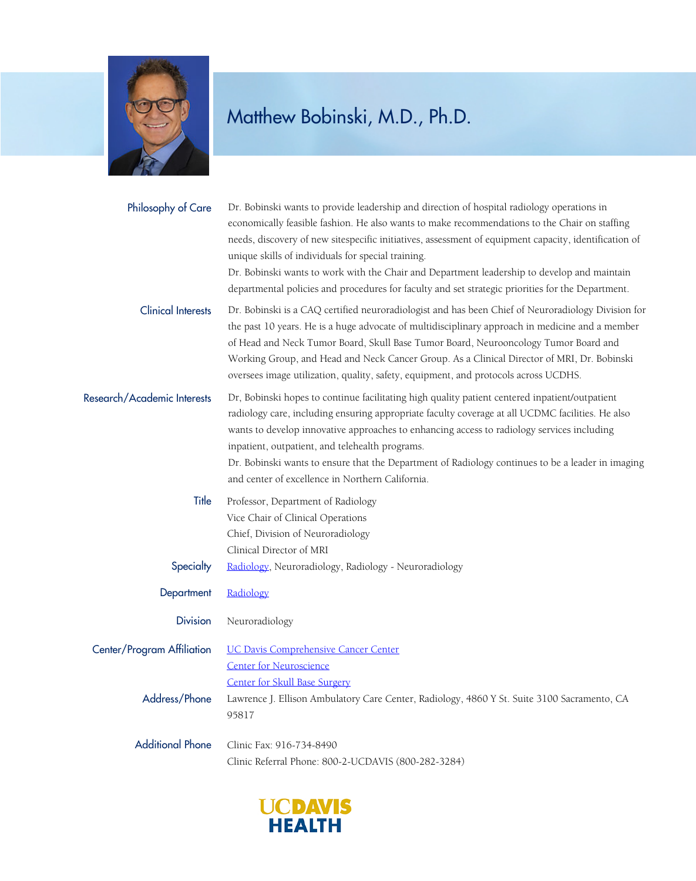

| Philosophy of Care          | Dr. Bobinski wants to provide leadership and direction of hospital radiology operations in<br>economically feasible fashion. He also wants to make recommendations to the Chair on staffing<br>needs, discovery of new sitespecific initiatives, assessment of equipment capacity, identification of<br>unique skills of individuals for special training.<br>Dr. Bobinski wants to work with the Chair and Department leadership to develop and maintain<br>departmental policies and procedures for faculty and set strategic priorities for the Department. |
|-----------------------------|----------------------------------------------------------------------------------------------------------------------------------------------------------------------------------------------------------------------------------------------------------------------------------------------------------------------------------------------------------------------------------------------------------------------------------------------------------------------------------------------------------------------------------------------------------------|
| <b>Clinical Interests</b>   | Dr. Bobinski is a CAQ certified neuroradiologist and has been Chief of Neuroradiology Division for<br>the past 10 years. He is a huge advocate of multidisciplinary approach in medicine and a member<br>of Head and Neck Tumor Board, Skull Base Tumor Board, Neurooncology Tumor Board and<br>Working Group, and Head and Neck Cancer Group. As a Clinical Director of MRI, Dr. Bobinski<br>oversees image utilization, quality, safety, equipment, and protocols across UCDHS.                                                                              |
| Research/Academic Interests | Dr, Bobinski hopes to continue facilitating high quality patient centered inpatient/outpatient<br>radiology care, including ensuring appropriate faculty coverage at all UCDMC facilities. He also<br>wants to develop innovative approaches to enhancing access to radiology services including<br>inpatient, outpatient, and telehealth programs.<br>Dr. Bobinski wants to ensure that the Department of Radiology continues to be a leader in imaging<br>and center of excellence in Northern California.                                                   |
| Title                       | Professor, Department of Radiology<br>Vice Chair of Clinical Operations<br>Chief, Division of Neuroradiology<br>Clinical Director of MRI                                                                                                                                                                                                                                                                                                                                                                                                                       |
| Specialty                   | Radiology, Neuroradiology, Radiology - Neuroradiology                                                                                                                                                                                                                                                                                                                                                                                                                                                                                                          |
| Department                  | Radiology                                                                                                                                                                                                                                                                                                                                                                                                                                                                                                                                                      |
| <b>Division</b>             | Neuroradiology                                                                                                                                                                                                                                                                                                                                                                                                                                                                                                                                                 |
| Center/Program Affiliation  | <b>UC Davis Comprehensive Cancer Center</b><br><b>Center for Neuroscience</b>                                                                                                                                                                                                                                                                                                                                                                                                                                                                                  |
| Address/Phone               | <b>Center for Skull Base Surgery</b><br>Lawrence J. Ellison Ambulatory Care Center, Radiology, 4860 Y St. Suite 3100 Sacramento, CA<br>95817                                                                                                                                                                                                                                                                                                                                                                                                                   |
| <b>Additional Phone</b>     | Clinic Fax: 916-734-8490<br>Clinic Referral Phone: 800-2-UCDAVIS (800-282-3284)                                                                                                                                                                                                                                                                                                                                                                                                                                                                                |

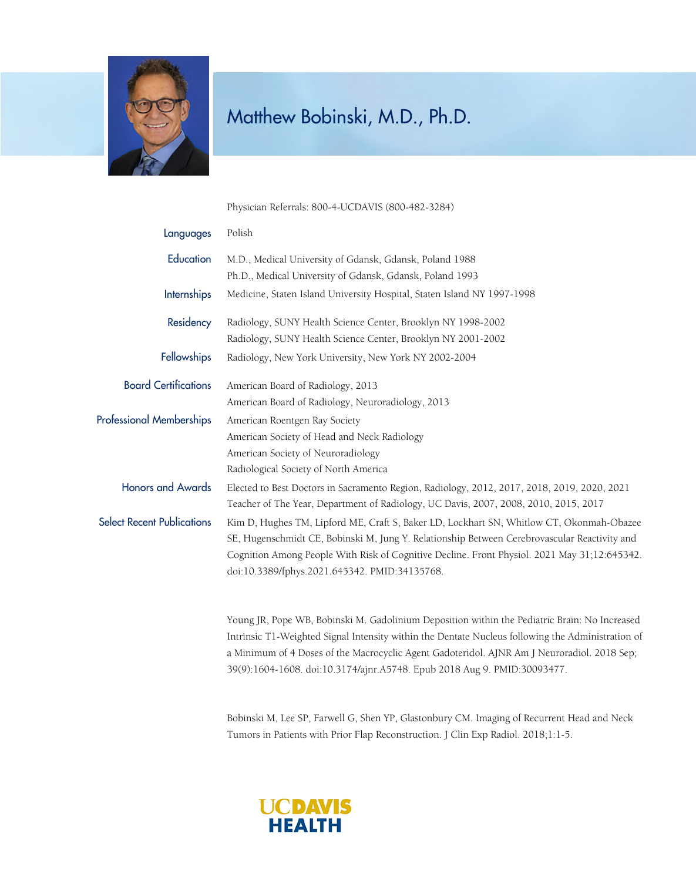

Physician Referrals: 800-4-UCDAVIS (800-482-3284)

| Languages                         | Polish                                                                                                                                                                              |
|-----------------------------------|-------------------------------------------------------------------------------------------------------------------------------------------------------------------------------------|
| Education                         | M.D., Medical University of Gdansk, Gdansk, Poland 1988                                                                                                                             |
|                                   | Ph.D., Medical University of Gdansk, Gdansk, Poland 1993                                                                                                                            |
| Internships                       | Medicine, Staten Island University Hospital, Staten Island NY 1997-1998                                                                                                             |
| Residency                         | Radiology, SUNY Health Science Center, Brooklyn NY 1998-2002                                                                                                                        |
|                                   | Radiology, SUNY Health Science Center, Brooklyn NY 2001-2002                                                                                                                        |
| <b>Fellowships</b>                | Radiology, New York University, New York NY 2002-2004                                                                                                                               |
| <b>Board Certifications</b>       | American Board of Radiology, 2013                                                                                                                                                   |
|                                   | American Board of Radiology, Neuroradiology, 2013                                                                                                                                   |
| <b>Professional Memberships</b>   | American Roentgen Ray Society                                                                                                                                                       |
|                                   | American Society of Head and Neck Radiology                                                                                                                                         |
|                                   | American Society of Neuroradiology                                                                                                                                                  |
|                                   | Radiological Society of North America                                                                                                                                               |
| <b>Honors and Awards</b>          | Elected to Best Doctors in Sacramento Region, Radiology, 2012, 2017, 2018, 2019, 2020, 2021<br>Teacher of The Year, Department of Radiology, UC Davis, 2007, 2008, 2010, 2015, 2017 |
| <b>Select Recent Publications</b> | Kim D, Hughes TM, Lipford ME, Craft S, Baker LD, Lockhart SN, Whitlow CT, Okonmah-Obazee                                                                                            |
|                                   | SE, Hugenschmidt CE, Bobinski M, Jung Y. Relationship Between Cerebrovascular Reactivity and                                                                                        |
|                                   | Cognition Among People With Risk of Cognitive Decline. Front Physiol. 2021 May 31;12:645342.                                                                                        |
|                                   | doi:10.3389/fphys.2021.645342. PMID:34135768.                                                                                                                                       |
|                                   |                                                                                                                                                                                     |
|                                   | Young IR, Pope WB, Bobinski M, Gadolinium Deposition within the Pediatric Brain: No Increased                                                                                       |

Young JR, Pope WB, Bobinski M. Gadolinium Deposition within the Pediatric Brain: No Increased Intrinsic T1-Weighted Signal Intensity within the Dentate Nucleus following the Administration of a Minimum of 4 Doses of the Macrocyclic Agent Gadoteridol. AJNR Am J Neuroradiol. 2018 Sep; 39(9):1604-1608. doi:10.3174/ajnr.A5748. Epub 2018 Aug 9. PMID:30093477.

Bobinski M, Lee SP, Farwell G, Shen YP, Glastonbury CM. Imaging of Recurrent Head and Neck Tumors in Patients with Prior Flap Reconstruction. J Clin Exp Radiol. 2018;1:1-5.

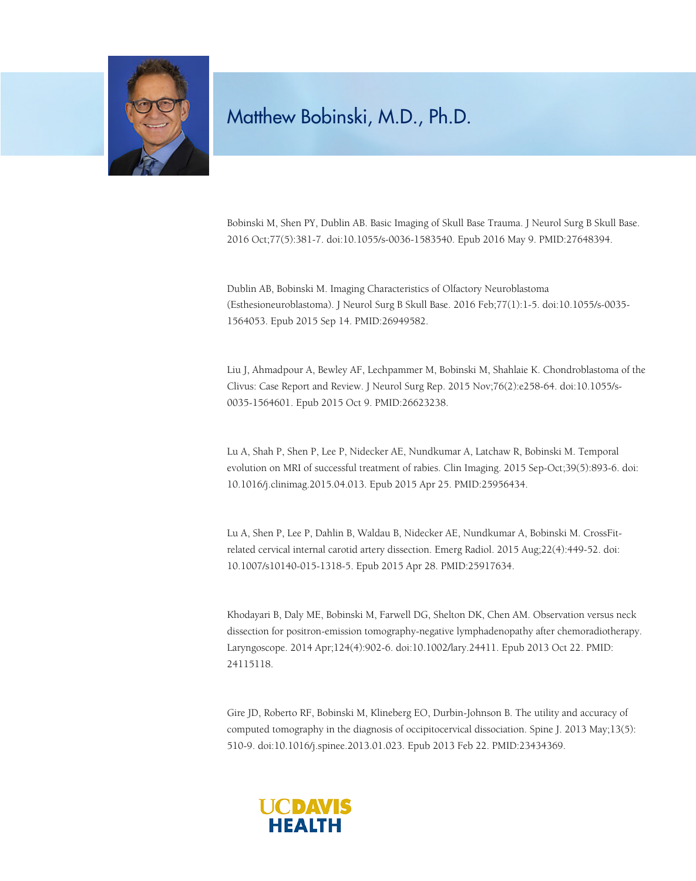

Bobinski M, Shen PY, Dublin AB. Basic Imaging of Skull Base Trauma. J Neurol Surg B Skull Base. 2016 Oct;77(5):381-7. doi:10.1055/s-0036-1583540. Epub 2016 May 9. PMID:27648394.

Dublin AB, Bobinski M. Imaging Characteristics of Olfactory Neuroblastoma (Esthesioneuroblastoma). J Neurol Surg B Skull Base. 2016 Feb;77(1):1-5. doi:10.1055/s-0035- 1564053. Epub 2015 Sep 14. PMID:26949582.

Liu J, Ahmadpour A, Bewley AF, Lechpammer M, Bobinski M, Shahlaie K. Chondroblastoma of the Clivus: Case Report and Review. J Neurol Surg Rep. 2015 Nov;76(2):e258-64. doi:10.1055/s-0035-1564601. Epub 2015 Oct 9. PMID:26623238.

Lu A, Shah P, Shen P, Lee P, Nidecker AE, Nundkumar A, Latchaw R, Bobinski M. Temporal evolution on MRI of successful treatment of rabies. Clin Imaging. 2015 Sep-Oct;39(5):893-6. doi: 10.1016/j.clinimag.2015.04.013. Epub 2015 Apr 25. PMID:25956434.

Lu A, Shen P, Lee P, Dahlin B, Waldau B, Nidecker AE, Nundkumar A, Bobinski M. CrossFitrelated cervical internal carotid artery dissection. Emerg Radiol. 2015 Aug;22(4):449-52. doi: 10.1007/s10140-015-1318-5. Epub 2015 Apr 28. PMID:25917634.

Khodayari B, Daly ME, Bobinski M, Farwell DG, Shelton DK, Chen AM. Observation versus neck dissection for positron-emission tomography-negative lymphadenopathy after chemoradiotherapy. Laryngoscope. 2014 Apr;124(4):902-6. doi:10.1002/lary.24411. Epub 2013 Oct 22. PMID: 24115118.

Gire JD, Roberto RF, Bobinski M, Klineberg EO, Durbin-Johnson B. The utility and accuracy of computed tomography in the diagnosis of occipitocervical dissociation. Spine J. 2013 May;13(5): 510-9. doi:10.1016/j.spinee.2013.01.023. Epub 2013 Feb 22. PMID:23434369.